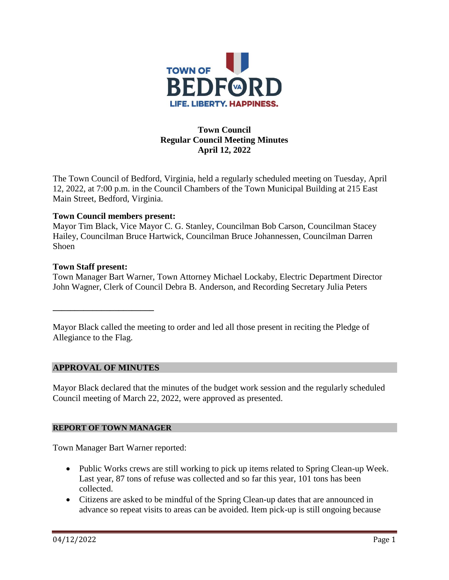

# **Town Council Regular Council Meeting Minutes April 12, 2022**

The Town Council of Bedford, Virginia, held a regularly scheduled meeting on Tuesday, April 12, 2022, at 7:00 p.m. in the Council Chambers of the Town Municipal Building at 215 East Main Street, Bedford, Virginia.

### **Town Council members present:**

Mayor Tim Black, Vice Mayor C. G. Stanley, Councilman Bob Carson, Councilman Stacey Hailey, Councilman Bruce Hartwick, Councilman Bruce Johannessen, Councilman Darren Shoen

### **Town Staff present:**

Town Manager Bart Warner, Town Attorney Michael Lockaby, Electric Department Director John Wagner, Clerk of Council Debra B. Anderson, and Recording Secretary Julia Peters

Mayor Black called the meeting to order and led all those present in reciting the Pledge of Allegiance to the Flag.

## **APPROVAL OF MINUTES**

**\_\_\_\_\_\_\_\_\_\_\_\_\_\_\_\_\_\_\_\_\_\_\_**

Mayor Black declared that the minutes of the budget work session and the regularly scheduled Council meeting of March 22, 2022, were approved as presented.

### **REPORT OF TOWN MANAGER**

Town Manager Bart Warner reported:

- Public Works crews are still working to pick up items related to Spring Clean-up Week. Last year, 87 tons of refuse was collected and so far this year, 101 tons has been collected.
- Citizens are asked to be mindful of the Spring Clean-up dates that are announced in advance so repeat visits to areas can be avoided. Item pick-up is still ongoing because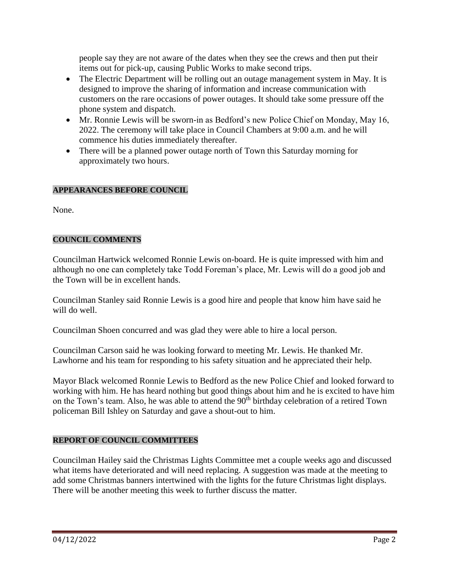people say they are not aware of the dates when they see the crews and then put their items out for pick-up, causing Public Works to make second trips.

- The Electric Department will be rolling out an outage management system in May. It is designed to improve the sharing of information and increase communication with customers on the rare occasions of power outages. It should take some pressure off the phone system and dispatch.
- Mr. Ronnie Lewis will be sworn-in as Bedford's new Police Chief on Monday, May 16, 2022. The ceremony will take place in Council Chambers at 9:00 a.m. and he will commence his duties immediately thereafter.
- There will be a planned power outage north of Town this Saturday morning for approximately two hours.

## **APPEARANCES BEFORE COUNCIL**

None.

# **COUNCIL COMMENTS**

Councilman Hartwick welcomed Ronnie Lewis on-board. He is quite impressed with him and although no one can completely take Todd Foreman's place, Mr. Lewis will do a good job and the Town will be in excellent hands.

Councilman Stanley said Ronnie Lewis is a good hire and people that know him have said he will do well.

Councilman Shoen concurred and was glad they were able to hire a local person.

Councilman Carson said he was looking forward to meeting Mr. Lewis. He thanked Mr. Lawhorne and his team for responding to his safety situation and he appreciated their help.

Mayor Black welcomed Ronnie Lewis to Bedford as the new Police Chief and looked forward to working with him. He has heard nothing but good things about him and he is excited to have him on the Town's team. Also, he was able to attend the 90<sup>th</sup> birthday celebration of a retired Town policeman Bill Ishley on Saturday and gave a shout-out to him.

## **REPORT OF COUNCIL COMMITTEES**

Councilman Hailey said the Christmas Lights Committee met a couple weeks ago and discussed what items have deteriorated and will need replacing. A suggestion was made at the meeting to add some Christmas banners intertwined with the lights for the future Christmas light displays. There will be another meeting this week to further discuss the matter.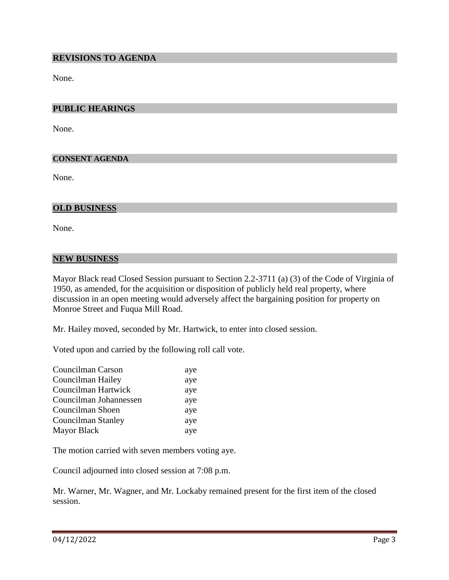### **REVISIONS TO AGENDA**

None.

### **PUBLIC HEARINGS**

None.

#### **CONSENT AGENDA**

None.

### **OLD BUSINESS**

None.

#### **NEW BUSINESS**

Mayor Black read Closed Session pursuant to Section 2.2-3711 (a) (3) of the Code of Virginia of 1950, as amended, for the acquisition or disposition of publicly held real property, where discussion in an open meeting would adversely affect the bargaining position for property on Monroe Street and Fuqua Mill Road.

Mr. Hailey moved, seconded by Mr. Hartwick, to enter into closed session.

Voted upon and carried by the following roll call vote.

| aye |
|-----|
| aye |
| aye |
| aye |
| aye |
| aye |
| aye |
|     |

The motion carried with seven members voting aye.

Council adjourned into closed session at 7:08 p.m.

Mr. Warner, Mr. Wagner, and Mr. Lockaby remained present for the first item of the closed session.